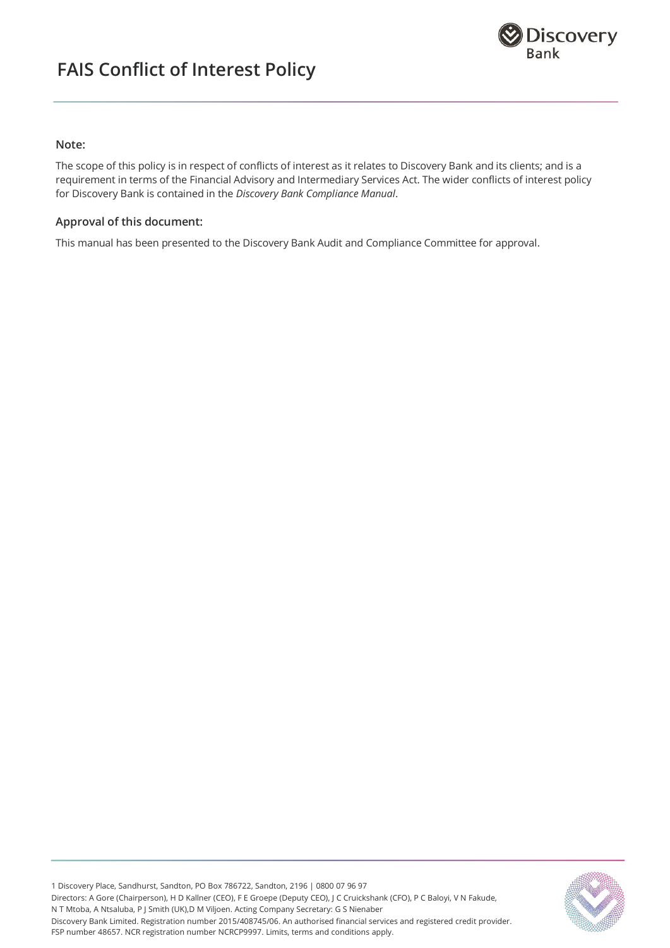

### **Note:**

The scope of this policy is in respect of conflicts of interest as it relates to Discovery Bank and its clients; and is a requirement in terms of the Financial Advisory and Intermediary Services Act. The wider conflicts of interest policy for Discovery Bank is contained in the *Discovery Bank Compliance Manual*.

#### **Approval of this document:**

This manual has been presented to the Discovery Bank Audit and Compliance Committee for approval.

1 Discovery Place, Sandhurst, Sandton, PO Box 786722, Sandton, 2196 | 0800 07 96 97 Directors: A Gore (Chairperson), H D Kallner (CEO), F E Groepe (Deputy CEO), J C Cruickshank (CFO), P C Baloyi, V N Fakude, N T Mtoba, A Ntsaluba, P J Smith (UK),D M Viljoen. Acting Company Secretary: G S Nienaber Discovery Bank Limited. Registration number 2015/408745/06. An authorised financial services and registered credit provider. FSP number 48657. NCR registration number NCRCP9997. Limits, terms and conditions apply.

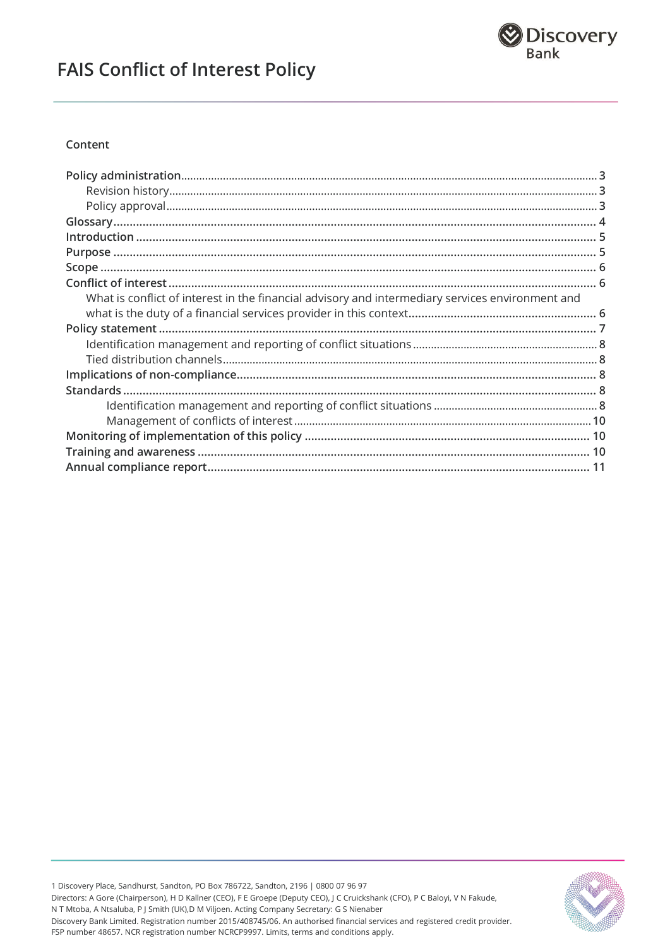

## Content

| What is conflict of interest in the financial advisory and intermediary services environment and |  |
|--------------------------------------------------------------------------------------------------|--|
|                                                                                                  |  |
|                                                                                                  |  |
|                                                                                                  |  |
|                                                                                                  |  |
|                                                                                                  |  |
|                                                                                                  |  |
|                                                                                                  |  |
|                                                                                                  |  |
|                                                                                                  |  |
|                                                                                                  |  |
|                                                                                                  |  |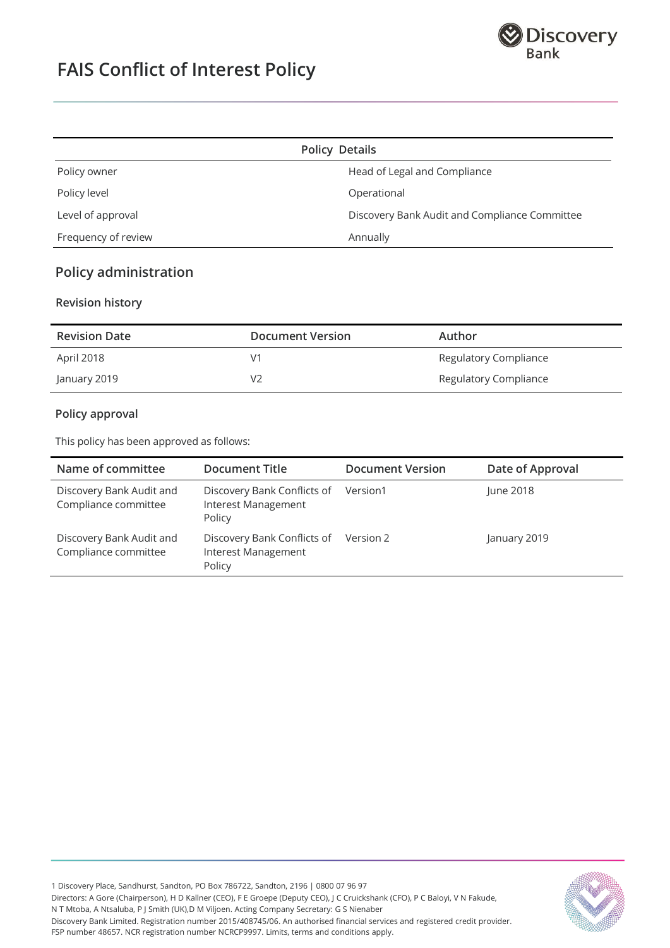

| <b>Policy Details</b> |                                               |  |  |
|-----------------------|-----------------------------------------------|--|--|
| Policy owner          | Head of Legal and Compliance                  |  |  |
| Policy level          | Operational                                   |  |  |
| Level of approval     | Discovery Bank Audit and Compliance Committee |  |  |
| Frequency of review   | Annually                                      |  |  |

## **Policy administration**

### **Revision history**

| <b>Revision Date</b> | <b>Document Version</b> | Author                |
|----------------------|-------------------------|-----------------------|
| April 2018           | V1                      | Regulatory Compliance |
| January 2019         | V2                      | Regulatory Compliance |

### **Policy approval**

This policy has been approved as follows:

| Name of committee                                | Document Title                                               | <b>Document Version</b> | Date of Approval |
|--------------------------------------------------|--------------------------------------------------------------|-------------------------|------------------|
| Discovery Bank Audit and<br>Compliance committee | Discovery Bank Conflicts of<br>Interest Management<br>Policy | Version1                | June 2018        |
| Discovery Bank Audit and<br>Compliance committee | Discovery Bank Conflicts of<br>Interest Management<br>Policy | Version 2               | January 2019     |



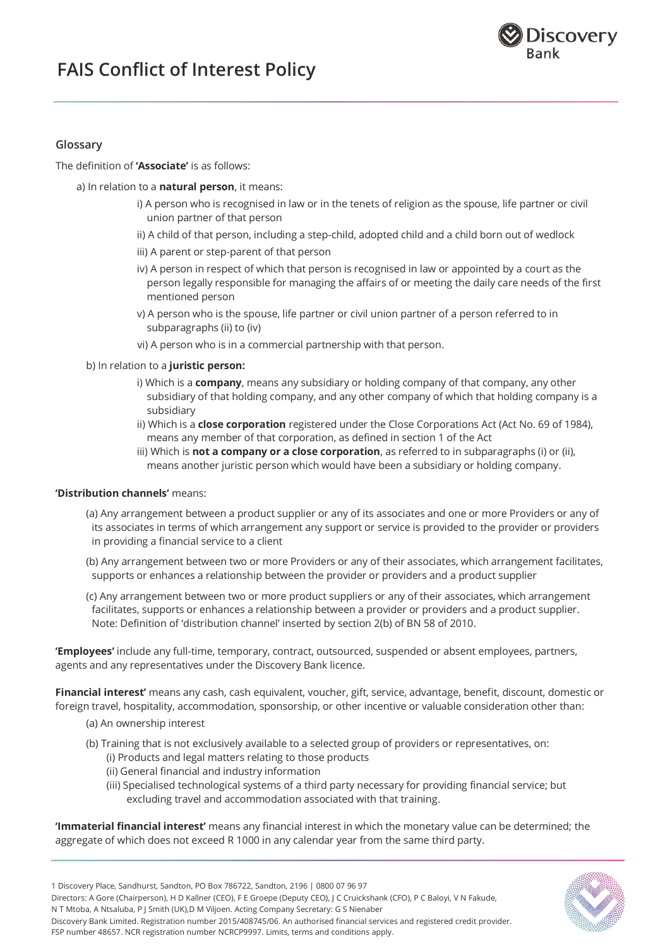

### **Glossary**

The definition of **'Associate'** is as follows:

a) In relation to a **natural person**, it means:

- i) A person who is recognised in law or in the tenets of religion as the spouse, life partner or civil union partner of that person
- ii) A child of that person, including a step-child, adopted child and a child born out of wedlock
- iii) A parent or step-parent of that person
- iv) A person in respect of which that person is recognised in law or appointed by a court as the person legally responsible for managing the affairs of or meeting the daily care needs of the first mentioned person
- v) A person who is the spouse, life partner or civil union partner of a person referred to in subparagraphs (ii) to (iv)
- vi) A person who is in a commercial partnership with that person.

#### b) In relation to a **juristic person:**

- i) Which is a **company**, means any subsidiary or holding company of that company, any other subsidiary of that holding company, and any other company of which that holding company is a subsidiary
- ii) Which is a **close corporation** registered under the Close Corporations Act (Act No. 69 of 1984), means any member of that corporation, as defined in section 1 of the Act
- iii) Which is **not a company or a close corporation**, as referred to in subparagraphs (i) or (ii), means another juristic person which would have been a subsidiary or holding company.

#### **'Distribution channels'** means:

- (a) Any arrangement between a product supplier or any of its associates and one or more Providers or any of its associates in terms of which arrangement any support or service is provided to the provider or providers in providing a financial service to a client
- (b) Any arrangement between two or more Providers or any of their associates, which arrangement facilitates, supports or enhances a relationship between the provider or providers and a product supplier
- (c) Any arrangement between two or more product suppliers or any of their associates, which arrangement facilitates, supports or enhances a relationship between a provider or providers and a product supplier. Note: Definition of 'distribution channel' inserted by section 2(b) of BN 58 of 2010.

**'Employees'** include any full-time, temporary, contract, outsourced, suspended or absent employees, partners, agents and any representatives under the Discovery Bank licence.

**Financial interest'** means any cash, cash equivalent, voucher, gift, service, advantage, benefit, discount, domestic or foreign travel, hospitality, accommodation, sponsorship, or other incentive or valuable consideration other than:

- (a) An ownership interest
- (b) Training that is not exclusively available to a selected group of providers or representatives, on:
	- (i) Products and legal matters relating to those products
	- (ii) General financial and industry information
	- (iii) Specialised technological systems of a third party necessary for providing financial service; but excluding travel and accommodation associated with that training.

**'Immaterial financial interest'** means any financial interest in which the monetary value can be determined; the aggregate of which does not exceed R 1000 in any calendar year from the same third party.

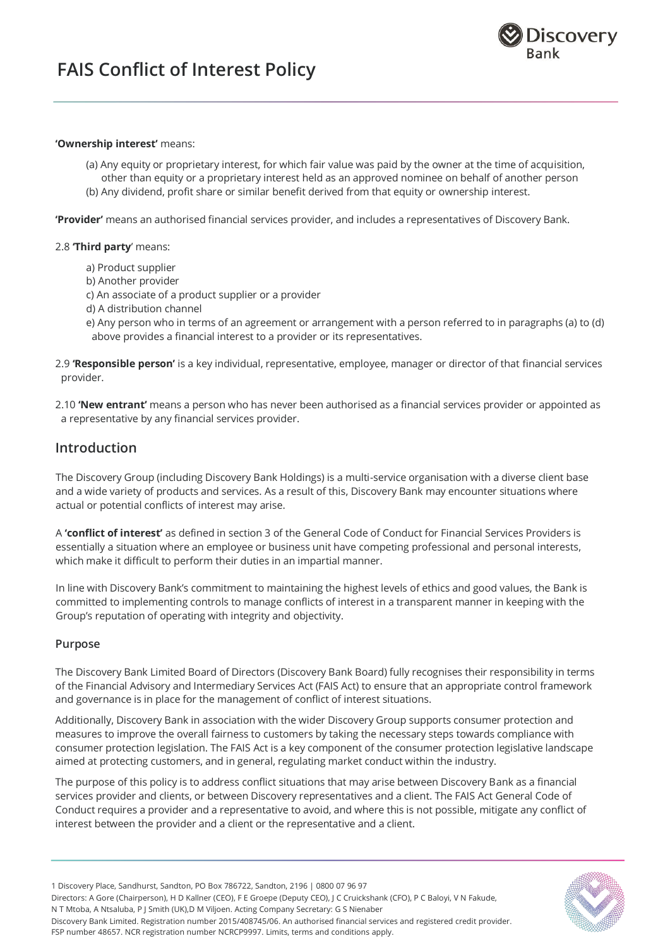#### **'Ownership interest'** means:

(a) Any equity or proprietary interest, for which fair value was paid by the owner at the time of acquisition, other than equity or a proprietary interest held as an approved nominee on behalf of another person (b) Any dividend, profit share or similar benefit derived from that equity or ownership interest.

**'Provider'** means an authorised financial services provider, and includes a representatives of Discovery Bank.

#### 2.8 **'Third party**' means:

- a) Product supplier
- b) Another provider
- c) An associate of a product supplier or a provider
- d) A distribution channel

e) Any person who in terms of an agreement or arrangement with a person referred to in paragraphs (a) to (d) above provides a financial interest to a provider or its representatives.

2.9 **'Responsible person'** is a key individual, representative, employee, manager or director of that financial services provider.

2.10 **'New entrant'** means a person who has never been authorised as a financial services provider or appointed as a representative by any financial services provider.

## **Introduction**

The Discovery Group (including Discovery Bank Holdings) is a multi-service organisation with a diverse client base and a wide variety of products and services. As a result of this, Discovery Bank may encounter situations where actual or potential conflicts of interest may arise.

A **'conflict of interest'** as defined in section 3 of the General Code of Conduct for Financial Services Providers is essentially a situation where an employee or business unit have competing professional and personal interests, which make it difficult to perform their duties in an impartial manner.

In line with Discovery Bank's commitment to maintaining the highest levels of ethics and good values, the Bank is committed to implementing controls to manage conflicts of interest in a transparent manner in keeping with the Group's reputation of operating with integrity and objectivity.

### **Purpose**

The Discovery Bank Limited Board of Directors (Discovery Bank Board) fully recognises their responsibility in terms of the Financial Advisory and Intermediary Services Act (FAIS Act) to ensure that an appropriate control framework and governance is in place for the management of conflict of interest situations.

Additionally, Discovery Bank in association with the wider Discovery Group supports consumer protection and measures to improve the overall fairness to customers by taking the necessary steps towards compliance with consumer protection legislation. The FAIS Act is a key component of the consumer protection legislative landscape aimed at protecting customers, and in general, regulating market conduct within the industry.

The purpose of this policy is to address conflict situations that may arise between Discovery Bank as a financial services provider and clients, or between Discovery representatives and a client. The FAIS Act General Code of Conduct requires a provider and a representative to avoid, and where this is not possible, mitigate any conflict of interest between the provider and a client or the representative and a client.

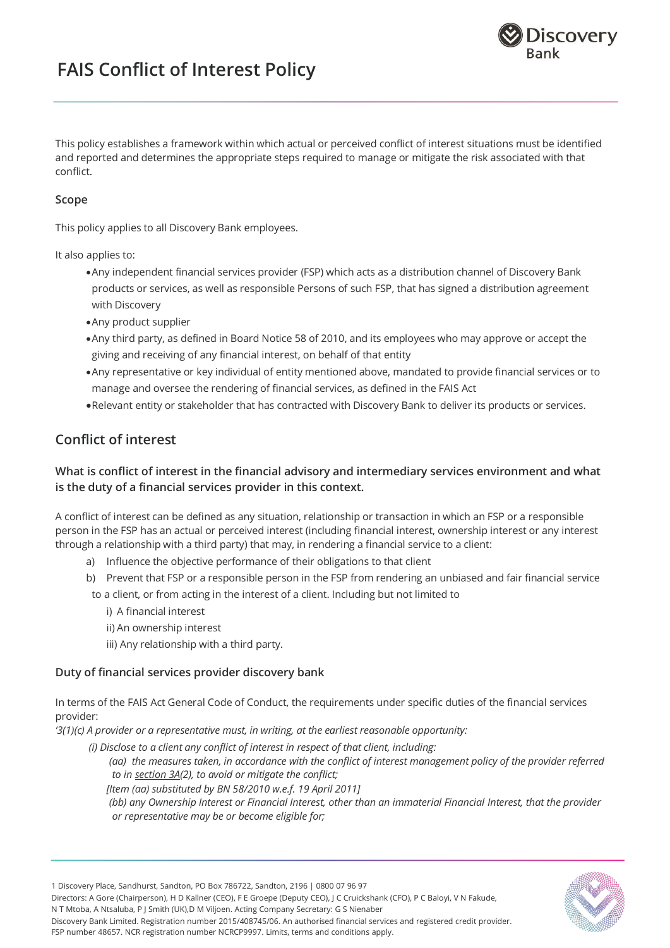

This policy establishes a framework within which actual or perceived conflict of interest situations must be identified and reported and determines the appropriate steps required to manage or mitigate the risk associated with that conflict.

## **Scope**

This policy applies to all Discovery Bank employees.

It also applies to:

- Any independent financial services provider (FSP) which acts as a distribution channel of Discovery Bank products or services, as well as responsible Persons of such FSP, that has signed a distribution agreement with Discovery
- Any product supplier
- Any third party, as defined in Board Notice 58 of 2010, and its employees who may approve or accept the giving and receiving of any financial interest, on behalf of that entity
- Any representative or key individual of entity mentioned above, mandated to provide financial services or to manage and oversee the rendering of financial services, as defined in the FAIS Act
- Relevant entity or stakeholder that has contracted with Discovery Bank to deliver its products or services.

## **Conflict of interest**

### **What is conflict of interest in the financial advisory and intermediary services environment and what is the duty of a financial services provider in this context.**

A conflict of interest can be defined as any situation, relationship or transaction in which an FSP or a responsible person in the FSP has an actual or perceived interest (including financial interest, ownership interest or any interest through a relationship with a third party) that may, in rendering a financial service to a client:

- a) Influence the objective performance of their obligations to that client
- b) Prevent that FSP or a responsible person in the FSP from rendering an unbiased and fair financial service
- to a client, or from acting in the interest of a client. Including but not limited to
	- i) A financial interest
	- ii) An ownership interest
	- iii) Any relationship with a third party.

### **Duty of financial services provider discovery bank**

In terms of the FAIS Act General Code of Conduct, the requirements under specific duties of the financial services provider:

*'3(1)(c) A provider or a representative must, in writing, at the earliest reasonable opportunity:*

*(i) Disclose to a client any conflict of interest in respect of that client, including:*

*(aa) the measures taken, in accordance with the conflict of interest management policy of the provider referred to in [section 3A\(](http://discover.sabinet.co.za/webx/access/netlaw/37_2002_financial_advisory_and_intermediary_services_act.htm#section3A)2), to avoid or mitigate the conflict;*

*[Item (aa) substituted by BN 58/2010 w.e.f. 19 April 2011]*

*(bb) any Ownership Interest or Financial Interest, other than an immaterial Financial Interest, that the provider or representative may be or become eligible for;*



Directors: A Gore (Chairperson), H D Kallner (CEO), F E Groepe (Deputy CEO), J C Cruickshank (CFO), P C Baloyi, V N Fakude,

N T Mtoba, A Ntsaluba, P J Smith (UK),D M Viljoen. Acting Company Secretary: G S Nienaber

Discovery Bank Limited. Registration number 2015/408745/06. An authorised financial services and registered credit provider. FSP number 48657. NCR registration number NCRCP9997. Limits, terms and conditions apply.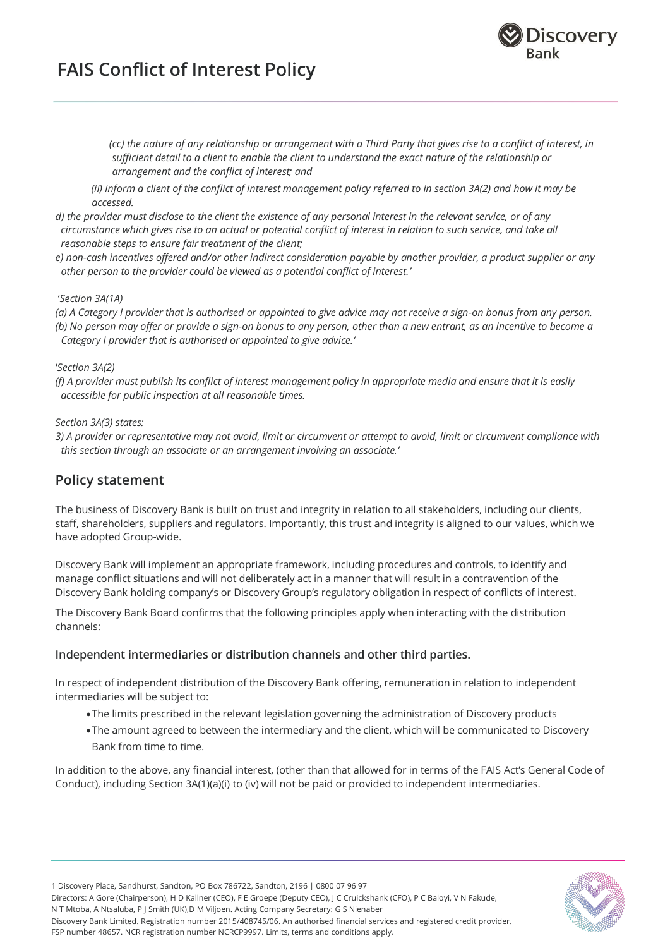

*(cc) the nature of any relationship or arrangement with a Third Party that gives rise to a conflict of interest, in sufficient detail to a client to enable the client to understand the exact nature of the relationship or arrangement and the conflict of interest; and*

*(ii) inform a client of the conflict of interest management policy referred to in section 3A(2) and how it may be accessed.*

*d) the provider must disclose to the client the existence of any personal interest in the relevant service, or of any circumstance which gives rise to an actual or potential conflict of interest in relation to such service, and take all reasonable steps to ensure fair treatment of the client;*

*e) non-cash incentives offered and/or other indirect consideration payable by another provider, a product supplier or any other person to the provider could be viewed as a potential conflict of interest.'*

#### '*Section 3A(1A)*

*(a) A Category I provider that is authorised or appointed to give advice may not receive a sign-on bonus from any person. (b) No person may offer or provide a sign-on bonus to any person, other than a new entrant, as an incentive to become a Category I provider that is authorised or appointed to give advice.'*

#### '*Section 3A(2)*

*(f) A provider must publish its conflict of interest management policy in appropriate media and ensure that it is easily accessible for public inspection at all reasonable times.*

#### *Section 3A(3) states:*

*3) A provider or representative may not avoid, limit or circumvent or attempt to avoid, limit or circumvent compliance with this section through an associate or an arrangement involving an associate.'*

## **Policy statement**

The business of Discovery Bank is built on trust and integrity in relation to all stakeholders, including our clients, staff, shareholders, suppliers and regulators. Importantly, this trust and integrity is aligned to our values, which we have adopted Group-wide.

Discovery Bank will implement an appropriate framework, including procedures and controls, to identify and manage conflict situations and will not deliberately act in a manner that will result in a contravention of the Discovery Bank holding company's or Discovery Group's regulatory obligation in respect of conflicts of interest.

The Discovery Bank Board confirms that the following principles apply when interacting with the distribution channels:

### **Independent intermediaries or distribution channels and other third parties.**

In respect of independent distribution of the Discovery Bank offering, remuneration in relation to independent intermediaries will be subject to:

- The limits prescribed in the relevant legislation governing the administration of Discovery products
- The amount agreed to between the intermediary and the client, which will be communicated to Discovery Bank from time to time.

In addition to the above, any financial interest, (other than that allowed for in terms of the FAIS Act's General Code of Conduct), including Section 3A(1)(a)(i) to (iv) will not be paid or provided to independent intermediaries.

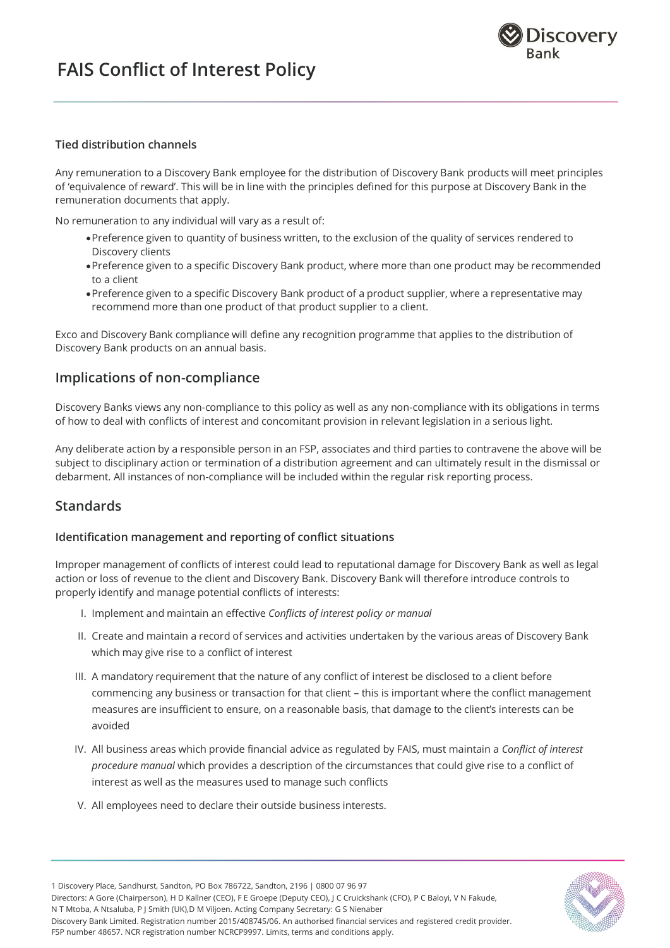

## **Tied distribution channels**

Any remuneration to a Discovery Bank employee for the distribution of Discovery Bank products will meet principles of 'equivalence of reward'. This will be in line with the principles defined for this purpose at Discovery Bank in the remuneration documents that apply.

No remuneration to any individual will vary as a result of:

- Preference given to quantity of business written, to the exclusion of the quality of services rendered to Discovery clients
- Preference given to a specific Discovery Bank product, where more than one product may be recommended to a client
- Preference given to a specific Discovery Bank product of a product supplier, where a representative may recommend more than one product of that product supplier to a client.

Exco and Discovery Bank compliance will define any recognition programme that applies to the distribution of Discovery Bank products on an annual basis.

## **Implications of non-compliance**

Discovery Banks views any non-compliance to this policy as well as any non-compliance with its obligations in terms of how to deal with conflicts of interest and concomitant provision in relevant legislation in a serious light.

Any deliberate action by a responsible person in an FSP, associates and third parties to contravene the above will be subject to disciplinary action or termination of a distribution agreement and can ultimately result in the dismissal or debarment. All instances of non-compliance will be included within the regular risk reporting process.

## **Standards**

### **Identification management and reporting of conflict situations**

Improper management of conflicts of interest could lead to reputational damage for Discovery Bank as well as legal action or loss of revenue to the client and Discovery Bank. Discovery Bank will therefore introduce controls to properly identify and manage potential conflicts of interests:

- I. Implement and maintain an effective *Conflicts of interest policy or manual*
- II. Create and maintain a record of services and activities undertaken by the various areas of Discovery Bank which may give rise to a conflict of interest
- III. A mandatory requirement that the nature of any conflict of interest be disclosed to a client before commencing any business or transaction for that client – this is important where the conflict management measures are insufficient to ensure, on a reasonable basis, that damage to the client's interests can be avoided
- IV. All business areas which provide financial advice as regulated by FAIS, must maintain a *Conflict of interest procedure manual* which provides a description of the circumstances that could give rise to a conflict of interest as well as the measures used to manage such conflicts
- V. All employees need to declare their outside business interests.



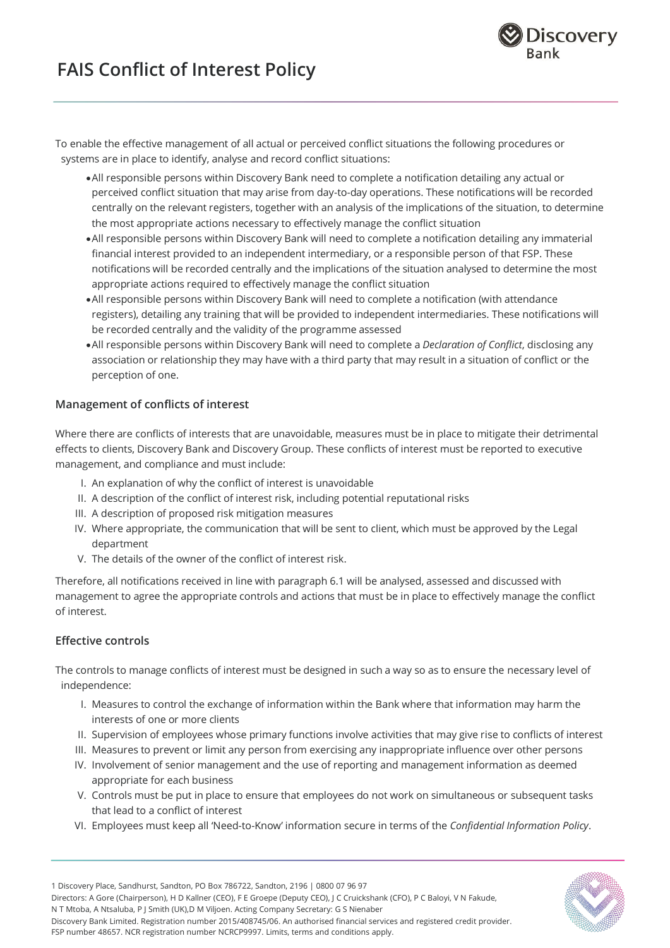

To enable the effective management of all actual or perceived conflict situations the following procedures or systems are in place to identify, analyse and record conflict situations:

- All responsible persons within Discovery Bank need to complete a notification detailing any actual or perceived conflict situation that may arise from day-to-day operations. These notifications will be recorded centrally on the relevant registers, together with an analysis of the implications of the situation, to determine the most appropriate actions necessary to effectively manage the conflict situation
- All responsible persons within Discovery Bank will need to complete a notification detailing any immaterial financial interest provided to an independent intermediary, or a responsible person of that FSP. These notifications will be recorded centrally and the implications of the situation analysed to determine the most appropriate actions required to effectively manage the conflict situation
- All responsible persons within Discovery Bank will need to complete a notification (with attendance registers), detailing any training that will be provided to independent intermediaries. These notifications will be recorded centrally and the validity of the programme assessed
- All responsible persons within Discovery Bank will need to complete a *Declaration of Conflict*, disclosing any association or relationship they may have with a third party that may result in a situation of conflict or the perception of one.

## **Management of conflicts of interest**

Where there are conflicts of interests that are unavoidable, measures must be in place to mitigate their detrimental effects to clients, Discovery Bank and Discovery Group. These conflicts of interest must be reported to executive management, and compliance and must include:

- I. An explanation of why the conflict of interest is unavoidable
- II. A description of the conflict of interest risk, including potential reputational risks
- III. A description of proposed risk mitigation measures
- IV. Where appropriate, the communication that will be sent to client, which must be approved by the Legal department
- V. The details of the owner of the conflict of interest risk.

Therefore, all notifications received in line with paragraph 6.1 will be analysed, assessed and discussed with management to agree the appropriate controls and actions that must be in place to effectively manage the conflict of interest.

## **Effective controls**

The controls to manage conflicts of interest must be designed in such a way so as to ensure the necessary level of independence:

- I. Measures to control the exchange of information within the Bank where that information may harm the interests of one or more clients
- II. Supervision of employees whose primary functions involve activities that may give rise to conflicts of interest
- III. Measures to prevent or limit any person from exercising any inappropriate influence over other persons
- IV. Involvement of senior management and the use of reporting and management information as deemed appropriate for each business
- V. Controls must be put in place to ensure that employees do not work on simultaneous or subsequent tasks that lead to a conflict of interest
- VI. Employees must keep all 'Need-to-Know' information secure in terms of the *Confidential Information Policy*.